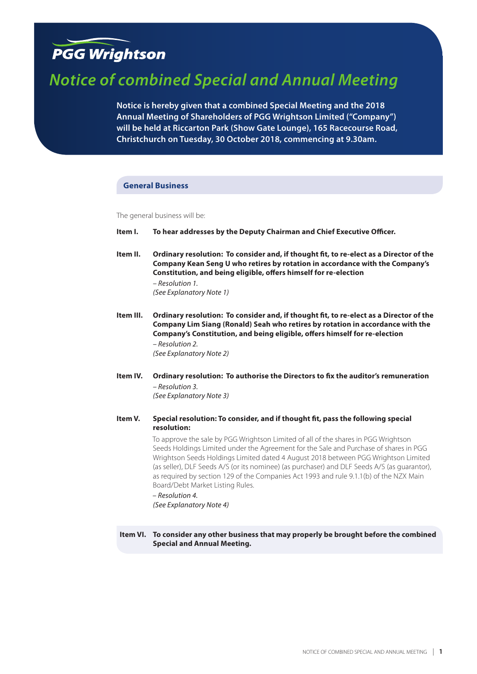# **PGG Wrightson**

# *Notice of combined Special and Annual Meeting*

**Notice is hereby given that a combined Special Meeting and the 2018 Annual Meeting of Shareholders of PGG Wrightson Limited ("Company") will be held at Riccarton Park (Show Gate Lounge), 165 Racecourse Road, Christchurch on Tuesday, 30 October 2018, commencing at 9.30am.**

# **General Business**

The general business will be:

- **Item I. To hear addresses by the Deputy Chairman and Chief Executive Officer.**
- **Item II. Ordinary resolution: To consider and, if thought fit, to re-elect as a Director of the Company Kean Seng U who retires by rotation in accordance with the Company's Constitution, and being eligible, offers himself for re-election** *– Resolution 1.*

*(See Explanatory Note 1)*

- **Item III. Ordinary resolution: To consider and, if thought fit, to re-elect as a Director of the Company Lim Siang (Ronald) Seah who retires by rotation in accordance with the Company's Constitution, and being eligible, offers himself for re-election** *– Resolution 2. (See Explanatory Note 2)*
- **Item IV. Ordinary resolution: To authorise the Directors to fix the auditor's remuneration** *– Resolution 3. (See Explanatory Note 3)*
- **Item V. Special resolution: To consider, and if thought fit, pass the following special resolution:**

To approve the sale by PGG Wrightson Limited of all of the shares in PGG Wrightson Seeds Holdings Limited under the Agreement for the Sale and Purchase of shares in PGG Wrightson Seeds Holdings Limited dated 4 August 2018 between PGG Wrightson Limited (as seller), DLF Seeds A/S (or its nominee) (as purchaser) and DLF Seeds A/S (as guarantor), as required by section 129 of the Companies Act 1993 and rule 9.1.1(b) of the NZX Main Board/Debt Market Listing Rules.

*– Resolution 4.* 

*(See Explanatory Note 4)*

**Item VI. To consider any other business that may properly be brought before the combined Special and Annual Meeting.**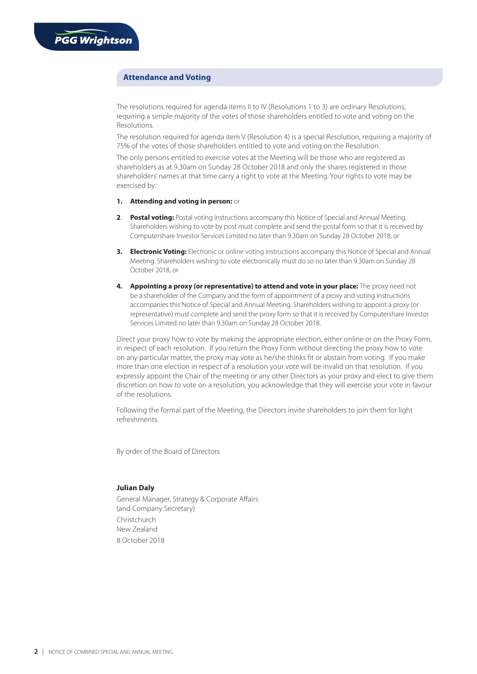# **Attendance and Voting**

The resolutions required for agenda items II to IV (Resolutions 1 to 3) are ordinary Resolutions, requiring a simple majority of the votes of those shareholders entitled to vote and voting on the Resolutions.

The resolution required for agenda item V (Resolution 4) is a special Resolution, requiring a majority of 75% of the votes of those shareholders entitled to vote and voting on the Resolution.

The only persons entitled to exercise votes at the Meeting will be those who are registered as shareholders as at 9.30am on Sunday 28 October 2018 and only the shares registered in those shareholders' names at that time carry a right to vote at the Meeting. Your rights to vote may be exercised by:

## **1. Attending and voting in person:** or

- 2. **Postal voting:** Postal voting instructions accompany this Notice of Special and Annual Meeting. Shareholders wishing to vote by post must complete and send the postal form so that it is received by Computershare Investor Services Limited no later than 9.30am on Sunday 28 October 2018, or
- **3. Electronic Voting:** Electronic or online voting instructions accompany this Notice of Special and Annual Meeting. Shareholders wishing to vote electronically must do so no later than 9.30am on Sunday 28 October 2018, or
- **4. Appointing a proxy (or representative) to attend and vote in your place:** The proxy need not be a shareholder of the Company and the form of appointment of a proxy and voting instructions accompanies this Notice of Special and Annual Meeting. Shareholders wishing to appoint a proxy (or representative) must complete and send the proxy form so that it is received by Computershare Investor Services Limited no later than 9.30am on Sunday 28 October 2018.

Direct your proxy how to vote by making the appropriate election, either online or on the Proxy Form, in respect of each resolution. If you return the Proxy Form without directing the proxy how to vote on any particular matter, the proxy may vote as he/she thinks fit or abstain from voting. If you make more than one election in respect of a resolution your vote will be invalid on that resolution. If you expressly appoint the Chair of the meeting or any other Directors as your proxy and elect to give them discretion on how to vote on a resolution, you acknowledge that they will exercise your vote in favour of the resolutions.

Following the formal part of the Meeting, the Directors invite shareholders to join them for light refreshments.

By order of the Board of Directors.

# **Julian Daly**

General Manager, Strategy & Corporate Affairs (and Company Secretary) Christchurch New Zealand 8 October 2018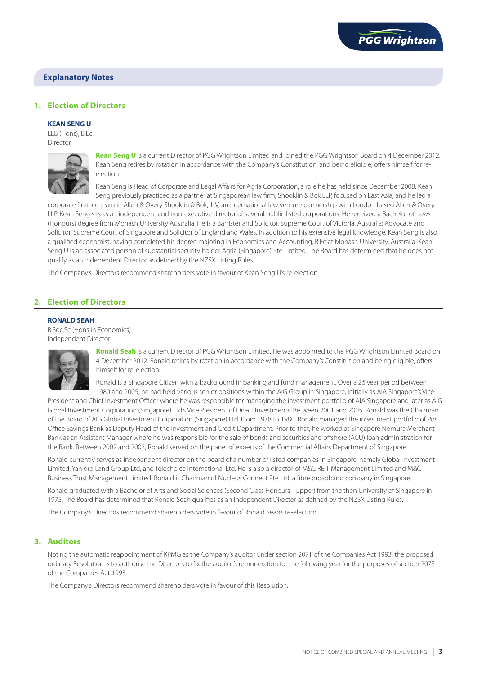

# **1. Election of Directors**

## **KEAN SENG U**

LLB (Hons), B.Ec Director



**Kean Seng U** is a current Director of PGG Wrightson Limited and joined the PGG Wrightson Board on 4 December 2012. Kean Seng retires by rotation in accordance with the Company's Constitution, and being eligible, offers himself for reelection.

Kean Seng is Head of Corporate and Legal Affairs for Agria Corporation, a role he has held since December 2008. Kean Seng previously practiced as a partner at Singaporean law firm, Shooklin & Bok LLP, focused on East Asia, and he led a

corporate finance team in Allen & Overy Shooklin & Bok, JLV, an international law venture partnership with London based Allen & Overy LLP. Kean Seng sits as an independent and non-executive director of several public listed corporations. He received a Bachelor of Laws (Honours) degree from Monash University Australia. He is a Barrister and Solicitor, Supreme Court of Victoria, Australia; Advocate and Solicitor, Supreme Court of Singapore and Solicitor of England and Wales. In addition to his extensive legal knowledge, Kean Seng is also a qualified economist, having completed his degree majoring in Economics and Accounting, B.Ec at Monash University, Australia. Kean Seng U is an associated person of substantial security holder Agria (Singapore) Pte Limited. The Board has determined that he does not qualify as an Independent Director as defined by the NZSX Listing Rules.

The Company's Directors recommend shareholders vote in favour of Kean Seng U's re-election.

# **2. Election of Directors**

#### **RONALD SEAH**

B.Soc.Sc (Hons in Economics) Independent Director



**Ronald Seah** is a current Director of PGG Wrightson Limited. He was appointed to the PGG Wrightson Limited Board on 4 December 2012. Ronald retires by rotation in accordance with the Company's Constitution and being eligible, offers himself for re-election.

Ronald is a Singapore Citizen with a background in banking and fund management. Over a 26 year period between 1980 and 2005, he had held various senior positions within the AIG Group in Singapore, initially as AIA Singapore's Vice-

President and Chief Investment Officer where he was responsible for managing the investment portfolio of AIA Singapore and later as AIG Global Investment Corporation (Singapore) Ltd's Vice President of Direct Investments. Between 2001 and 2005, Ronald was the Chairman of the Board of AIG Global Investment Corporation (Singapore) Ltd. From 1978 to 1980, Ronald managed the investment portfolio of Post Office Savings Bank as Deputy Head of the Investment and Credit Department. Prior to that, he worked at Singapore Nomura Merchant Bank as an Assistant Manager where he was responsible for the sale of bonds and securities and offshore (ACU) loan administration for the Bank. Between 2002 and 2003, Ronald served on the panel of experts of the Commercial Affairs Department of Singapore.

Ronald currently serves as independent director on the board of a number of listed companies in Singapore, namely Global Investment Limited, Yanlord Land Group Ltd; and Telechoice International Ltd. He is also a director of M&C REIT Management Limited and M&C Business Trust Management Limited. Ronald is Chairman of Nucleus Connect Pte Ltd, a fibre broadband company in Singapore.

Ronald graduated with a Bachelor of Arts and Social Sciences (Second Class Honours - Upper) from the then University of Singapore in 1975. The Board has determined that Ronald Seah qualifies as an Independent Director as defined by the NZSX Listing Rules.

The Company's Directors recommend shareholders vote in favour of Ronald Seah's re-election.

# **3. Auditors**

Noting the automatic reappointment of KPMG as the Company's auditor under section 207T of the Companies Act 1993, the proposed ordinary Resolution is to authorise the Directors to fix the auditor's remuneration for the following year for the purposes of section 207S of the Companies Act 1993.

The Company's Directors recommend shareholders vote in favour of this Resolution.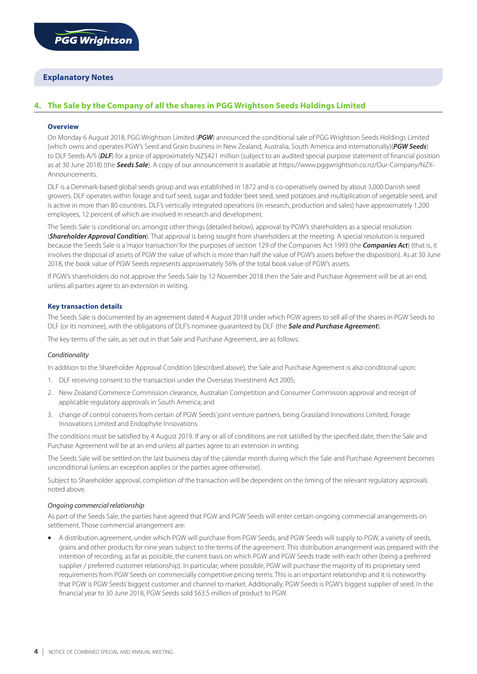# **4. The Sale by the Company of all the shares in PGG Wrightson Seeds Holdings Limited**

# **Overview**

On Monday 6 August 2018, PGG Wrightson Limited (*PGW*) announced the conditional sale of PGG Wrightson Seeds Holdings Limited (which owns and operates PGW's Seed and Grain business in New Zealand, Australia, South America and internationally)(*PGW Seeds*) to DLF Seeds A/S (*DLF*) for a price of approximately NZ\$421 million (subject to an audited special purpose statement of financial position as at 30 June 2018) (the *Seeds Sale*). A copy of our announcement is available at https://www.pggwrightson.co.nz/Our-Company/NZX-Announcements.

DLF is a Denmark-based global seeds group and was established in 1872 and is co-operatively owned by about 3,000 Danish seed growers. DLF operates within forage and turf seed, sugar and fodder beet seed, seed potatoes and multiplication of vegetable seed, and is active in more than 80 countries. DLF's vertically integrated operations (in research, production and sales) have approximately 1,200 employees, 12 percent of which are involved in research and development.

The Seeds Sale is conditional on, amongst other things (detailed below), approval by PGW's shareholders as a special resolution (*Shareholder Approval Condition*). That approval is being sought from shareholders at the meeting. A special resolution is required because the Seeds Sale is a 'major transaction' for the purposes of section 129 of the Companies Act 1993 (the *Companies Act*) (that is, it involves the disposal of assets of PGW the value of which is more than half the value of PGW's assets before the disposition). As at 30 June 2018, the book value of PGW Seeds represents approximately 56% of the total book value of PGW's assets.

If PGW's shareholders do not approve the Seeds Sale by 12 November 2018 then the Sale and Purchase Agreement will be at an end, unless all parties agree to an extension in writing.

## **Key transaction details**

The Seeds Sale is documented by an agreement dated 4 August 2018 under which PGW agrees to sell all of the shares in PGW Seeds to DLF (or its nominee), with the obligations of DLF's nominee guaranteed by DLF (the *Sale and Purchase Agreement*).

The key terms of the sale, as set out in that Sale and Purchase Agreement, are as follows:

#### *Conditionality*

In addition to the Shareholder Approval Condition (described above), the Sale and Purchase Agreement is also conditional upon:

- 1. DLF receiving consent to the transaction under the Overseas Investment Act 2005;
- 2. New Zealand Commerce Commission clearance, Australian Competition and Consumer Commission approval and receipt of applicable regulatory approvals in South America; and
- 3. change of control consents from certain of PGW Seeds' joint venture partners, being Grassland Innovations Limited, Forage Innovations Limited and Endophyte Innovations.

The conditions must be satisfied by 4 August 2019. If any or all of conditions are not satisfied by the specified date, then the Sale and Purchase Agreement will be at an end unless all parties agree to an extension in writing.

The Seeds Sale will be settled on the last business day of the calendar month during which the Sale and Purchase Agreement becomes unconditional (unless an exception applies or the parties agree otherwise).

Subject to Shareholder approval, completion of the transaction will be dependent on the timing of the relevant regulatory approvals noted above.

# *Ongoing commercial relationship*

As part of the Seeds Sale, the parties have agreed that PGW and PGW Seeds will enter certain ongoing commercial arrangements on settlement. Those commercial arrangement are:

**•** A distribution agreement, under which PGW will purchase from PGW Seeds, and PGW Seeds will supply to PGW, a variety of seeds, grains and other products for nine years subject to the terms of the agreement. This distribution arrangement was prepared with the intention of recording, as far as possible, the current basis on which PGW and PGW Seeds trade with each other (being a preferred supplier / preferred customer relationship). In particular, where possible, PGW will purchase the majority of its proprietary seed requirements from PGW Seeds on commercially competitive pricing terms. This is an important relationship and it is noteworthy that PGW is PGW Seeds' biggest customer and channel to market. Additionally, PGW Seeds is PGW's biggest supplier of seed. In the financial year to 30 June 2018, PGW Seeds sold \$63.5 million of product to PGW.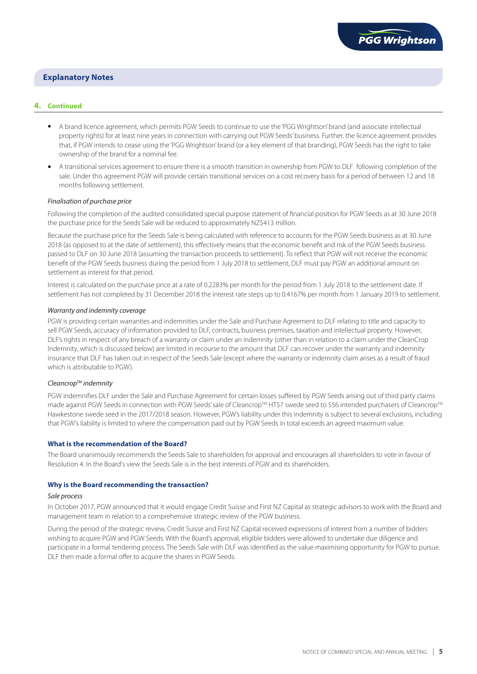

## **4. Continued**

- **•** A brand licence agreement, which permits PGW Seeds to continue to use the 'PGG Wrightson' brand (and associate intellectual property rights) for at least nine years in connection with carrying out PGW Seeds' business. Further, the licence agreement provides that, if PGW intends to cease using the 'PGG Wrightson' brand (or a key element of that branding), PGW Seeds has the right to take ownership of the brand for a nominal fee.
- **•** A transitional services agreement to ensure there is a smooth transition in ownership from PGW to DLF following completion of the sale. Under this agreement PGW will provide certain transitional services on a cost recovery basis for a period of between 12 and 18 months following settlement.

#### *Finalisation of purchase price*

Following the completion of the audited consolidated special purpose statement of financial position for PGW Seeds as at 30 June 2018 the purchase price for the Seeds Sale will be reduced to approximately NZ\$413 million.

Because the purchase price for the Seeds Sale is being calculated with reference to accounts for the PGW Seeds business as at 30 June 2018 (as opposed to at the date of settlement), this effectively means that the economic benefit and risk of the PGW Seeds business passed to DLF on 30 June 2018 (assuming the transaction proceeds to settlement). To reflect that PGW will not receive the economic benefit of the PGW Seeds business during the period from 1 July 2018 to settlement, DLF must pay PGW an additional amount on settlement as interest for that period.

Interest is calculated on the purchase price at a rate of 0.2283% per month for the period from 1 July 2018 to the settlement date. If settlement has not completed by 31 December 2018 the interest rate steps up to 0.4167% per month from 1 January 2019 to settlement.

## *Warranty and indemnity coverage*

PGW is providing certain warranties and indemnities under the Sale and Purchase Agreement to DLF relating to title and capacity to sell PGW Seeds, accuracy of information provided to DLF, contracts, business premises, taxation and intellectual property. However, DLF's rights in respect of any breach of a warranty or claim under an indemnity (other than in relation to a claim under the CleanCrop Indemnity, which is discussed below) are limited in recourse to the amount that DLF can recover under the warranty and indemnity insurance that DLF has taken out in respect of the Seeds Sale (except where the warranty or indemnity claim arises as a result of fraud which is attributable to PGW).

#### *CleancropTM indemnity*

PGW indemnifies DLF under the Sale and Purchase Agreement for certain losses suffered by PGW Seeds arising out of third party claims made against PGW Seeds in connection with PGW Seeds' sale of Cleancrop™ HT57 swede seed to 556 intended purchasers of Cleancrop™ Hawkestone swede seed in the 2017/2018 season. However, PGW's liability under this indemnity is subject to several exclusions, including that PGW's liability is limited to where the compensation paid out by PGW Seeds in total exceeds an agreed maximum value.

#### **What is the recommendation of the Board?**

The Board unanimously recommends the Seeds Sale to shareholders for approval and encourages all shareholders to vote in favour of Resolution 4. In the Board's view the Seeds Sale is in the best interests of PGW and its shareholders.

#### **Why is the Board recommending the transaction?**

## *Sale process*

In October 2017, PGW announced that it would engage Credit Suisse and First NZ Capital as strategic advisors to work with the Board and management team in relation to a comprehensive strategic review of the PGW business.

During the period of the strategic review, Credit Suisse and First NZ Capital received expressions of interest from a number of bidders wishing to acquire PGW and PGW Seeds. With the Board's approval, eligible bidders were allowed to undertake due diligence and participate in a formal tendering process. The Seeds Sale with DLF was identified as the value maximising opportunity for PGW to pursue. DLF then made a formal offer to acquire the shares in PGW Seeds.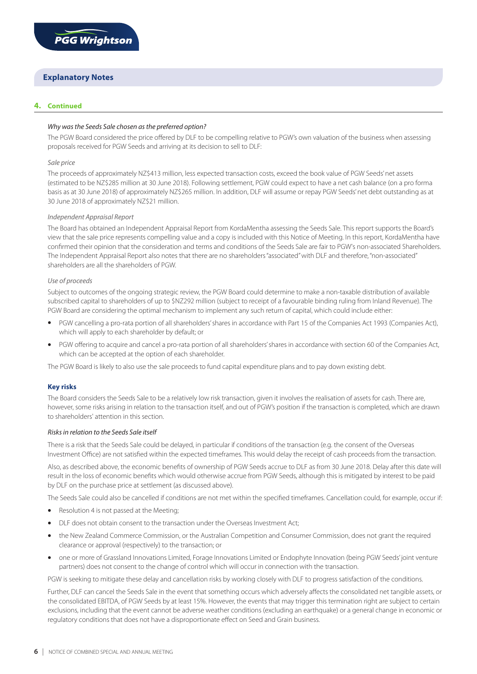

# **4. Continued**

# *Why was the Seeds Sale chosen as the preferred option?*

The PGW Board considered the price offered by DLF to be compelling relative to PGW's own valuation of the business when assessing proposals received for PGW Seeds and arriving at its decision to sell to DLF:

## *Sale price*

The proceeds of approximately NZ\$413 million, less expected transaction costs, exceed the book value of PGW Seeds' net assets (estimated to be NZ\$285 million at 30 June 2018). Following settlement, PGW could expect to have a net cash balance (on a pro forma basis as at 30 June 2018) of approximately NZ\$265 million. In addition, DLF will assume or repay PGW Seeds' net debt outstanding as at 30 June 2018 of approximately NZ\$21 million.

## *Independent Appraisal Report*

The Board has obtained an Independent Appraisal Report from KordaMentha assessing the Seeds Sale. This report supports the Board's view that the sale price represents compelling value and a copy is included with this Notice of Meeting. In this report, KordaMentha have confirmed their opinion that the consideration and terms and conditions of the Seeds Sale are fair to PGW's non-associated Shareholders. The Independent Appraisal Report also notes that there are no shareholders "associated" with DLF and therefore, "non-associated" shareholders are all the shareholders of PGW.

## *Use of proceeds*

Subject to outcomes of the ongoing strategic review, the PGW Board could determine to make a non-taxable distribution of available subscribed capital to shareholders of up to \$NZ292 million (subject to receipt of a favourable binding ruling from Inland Revenue). The PGW Board are considering the optimal mechanism to implement any such return of capital, which could include either:

- **•** PGW cancelling a pro-rata portion of all shareholders' shares in accordance with Part 15 of the Companies Act 1993 (Companies Act), which will apply to each shareholder by default; or
- **•** PGW offering to acquire and cancel a pro-rata portion of all shareholders' shares in accordance with section 60 of the Companies Act, which can be accepted at the option of each shareholder.

The PGW Board is likely to also use the sale proceeds to fund capital expenditure plans and to pay down existing debt.

# **Key risks**

The Board considers the Seeds Sale to be a relatively low risk transaction, given it involves the realisation of assets for cash. There are, however, some risks arising in relation to the transaction itself, and out of PGW's position if the transaction is completed, which are drawn to shareholders' attention in this section.

## *Risks in relation to the Seeds Sale itself*

There is a risk that the Seeds Sale could be delayed, in particular if conditions of the transaction (e.g. the consent of the Overseas Investment Office) are not satisfied within the expected timeframes. This would delay the receipt of cash proceeds from the transaction.

Also, as described above, the economic benefits of ownership of PGW Seeds accrue to DLF as from 30 June 2018. Delay after this date will result in the loss of economic benefits which would otherwise accrue from PGW Seeds, although this is mitigated by interest to be paid by DLF on the purchase price at settlement (as discussed above).

The Seeds Sale could also be cancelled if conditions are not met within the specified timeframes. Cancellation could, for example, occur if:

- **•** Resolution 4 is not passed at the Meeting;
- **•** DLF does not obtain consent to the transaction under the Overseas Investment Act;
- **•** the New Zealand Commerce Commission, or the Australian Competition and Consumer Commission, does not grant the required clearance or approval (respectively) to the transaction; or
- **•** one or more of Grassland Innovations Limited, Forage Innovations Limited or Endophyte Innovation (being PGW Seeds' joint venture partners) does not consent to the change of control which will occur in connection with the transaction.

PGW is seeking to mitigate these delay and cancellation risks by working closely with DLF to progress satisfaction of the conditions.

Further, DLF can cancel the Seeds Sale in the event that something occurs which adversely affects the consolidated net tangible assets, or the consolidated EBITDA, of PGW Seeds by at least 15%. However, the events that may trigger this termination right are subject to certain exclusions, including that the event cannot be adverse weather conditions (excluding an earthquake) or a general change in economic or regulatory conditions that does not have a disproportionate effect on Seed and Grain business.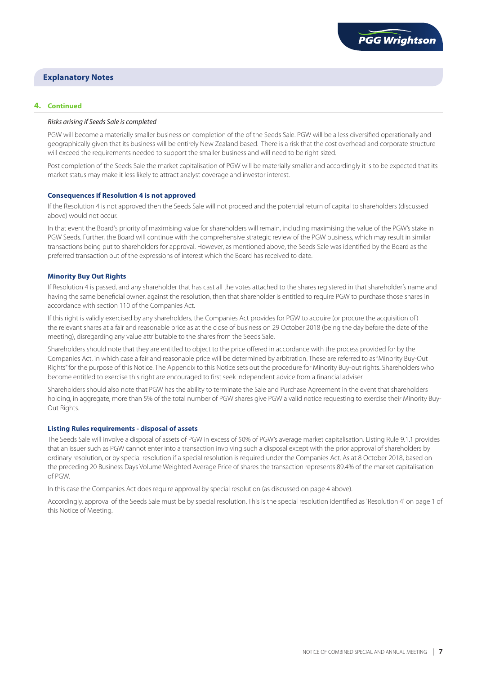# **4. Continued**

## *Risks arising if Seeds Sale is completed*

PGW will become a materially smaller business on completion of the of the Seeds Sale. PGW will be a less diversified operationally and geographically given that its business will be entirely New Zealand based. There is a risk that the cost overhead and corporate structure will exceed the requirements needed to support the smaller business and will need to be right-sized.

Post completion of the Seeds Sale the market capitalisation of PGW will be materially smaller and accordingly it is to be expected that its market status may make it less likely to attract analyst coverage and investor interest.

## **Consequences if Resolution 4 is not approved**

If the Resolution 4 is not approved then the Seeds Sale will not proceed and the potential return of capital to shareholders (discussed above) would not occur.

In that event the Board's priority of maximising value for shareholders will remain, including maximising the value of the PGW's stake in PGW Seeds. Further, the Board will continue with the comprehensive strategic review of the PGW business, which may result in similar transactions being put to shareholders for approval. However, as mentioned above, the Seeds Sale was identified by the Board as the preferred transaction out of the expressions of interest which the Board has received to date.

## **Minority Buy Out Rights**

If Resolution 4 is passed, and any shareholder that has cast all the votes attached to the shares registered in that shareholder's name and having the same beneficial owner, against the resolution, then that shareholder is entitled to require PGW to purchase those shares in accordance with section 110 of the Companies Act.

If this right is validly exercised by any shareholders, the Companies Act provides for PGW to acquire (or procure the acquisition of) the relevant shares at a fair and reasonable price as at the close of business on 29 October 2018 (being the day before the date of the meeting), disregarding any value attributable to the shares from the Seeds Sale.

Shareholders should note that they are entitled to object to the price offered in accordance with the process provided for by the Companies Act, in which case a fair and reasonable price will be determined by arbitration. These are referred to as "Minority Buy-Out Rights" for the purpose of this Notice. The Appendix to this Notice sets out the procedure for Minority Buy-out rights. Shareholders who become entitled to exercise this right are encouraged to first seek independent advice from a financial adviser.

Shareholders should also note that PGW has the ability to terminate the Sale and Purchase Agreement in the event that shareholders holding, in aggregate, more than 5% of the total number of PGW shares give PGW a valid notice requesting to exercise their Minority Buy-Out Rights.

#### **Listing Rules requirements - disposal of assets**

The Seeds Sale will involve a disposal of assets of PGW in excess of 50% of PGW's average market capitalisation. Listing Rule 9.1.1 provides that an issuer such as PGW cannot enter into a transaction involving such a disposal except with the prior approval of shareholders by ordinary resolution, or by special resolution if a special resolution is required under the Companies Act. As at 8 October 2018, based on the preceding 20 Business Days Volume Weighted Average Price of shares the transaction represents 89.4% of the market capitalisation of PGW.

In this case the Companies Act does require approval by special resolution (as discussed on page 4 above).

Accordingly, approval of the Seeds Sale must be by special resolution. This is the special resolution identified as 'Resolution 4' on page 1 of this Notice of Meeting.